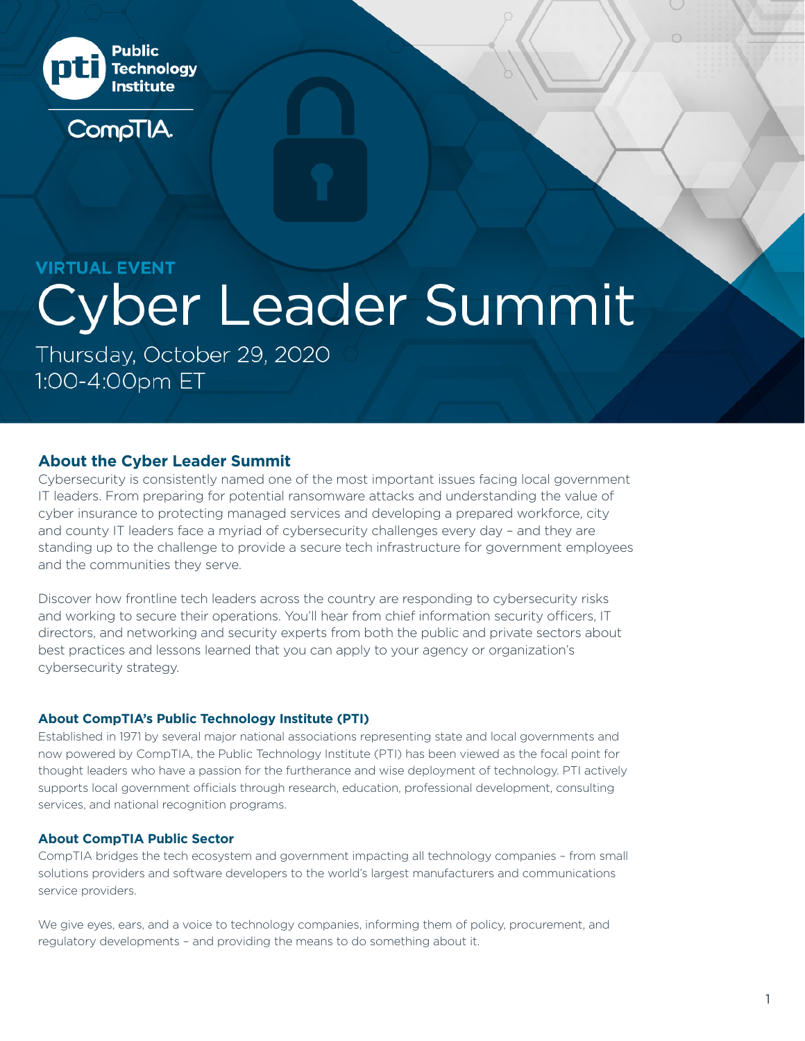

## **VIRTUAL EVENT**

# **Cyber Leader Summit**

Thursday, October 29, 2020 1:00-4:00pm ET

## **About the Cyber Leader Summit**

Cybersecurity is consistently named one of the most important issues facing local government IT leaders. From preparing for potential ransomware attacks and understanding the value of cyber insurance to protecting managed services and developing a prepared workforce, city and county IT leaders face a myriad of cybersecurity challenges every day – and they are standing up to the challenge to provide a secure tech infrastructure for government employees and the communities they serve.

Discover how frontline tech leaders across the country are responding to cybersecurity risks and working to secure their operations. You'll hear from chief information security officers, IT directors, and networking and security experts from both the public and private sectors about best practices and lessons learned that you can apply to your agency or organization's cybersecurity strategy.

## **About CompTIA's Public Technology Institute (PTI)**

Established in 1971 by several major national associations representing state and local governments and now powered by CompTIA, the Public Technology Institute (PTI) has been viewed as the focal point for thought leaders who have a passion for the furtherance and wise deployment of technology. PTI actively supports local government officials through research, education, professional development, consulting services, and national recognition programs.

## **About CompTIA Public Sector**

CompTIA bridges the tech ecosystem and government impacting all technology companies – from small solutions providers and software developers to the world's largest manufacturers and communications service providers.

We give eyes, ears, and a voice to technology companies, informing them of policy, procurement, and regulatory developments – and providing the means to do something about it.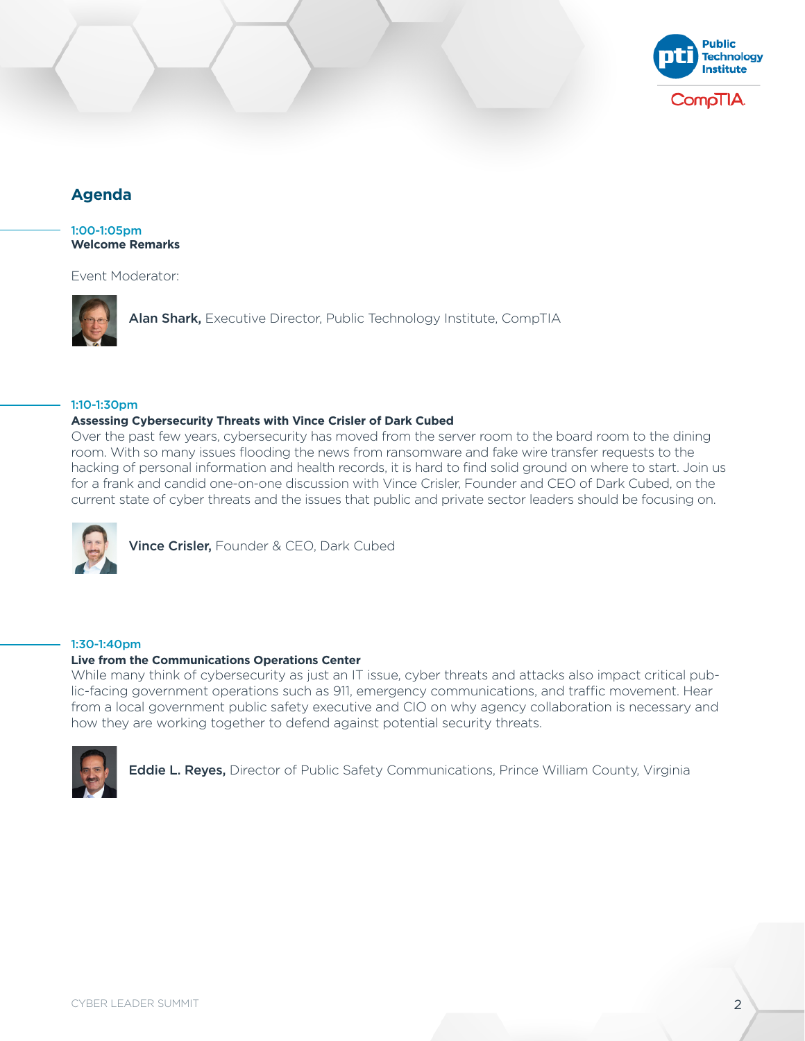

# **Agenda**

1:00-1:05pm **Welcome Remarks**

Event Moderator:



[Alan Shark,](https://www.comptia.org/docs/default-source/event-docs/alan-shark.pdf?sfvrsn=d60fd055_2) Executive Director, Public Technology Institute, CompTIA

#### 1:10-1:30pm

#### **Assessing Cybersecurity Threats with Vince Crisler of Dark Cubed**

Over the past few years, cybersecurity has moved from the server room to the board room to the dining room. With so many issues flooding the news from ransomware and fake wire transfer requests to the hacking of personal information and health records, it is hard to find solid ground on where to start. Join us for a frank and candid one-on-one discussion with Vince Crisler, Founder and CEO of Dark Cubed, on the current state of cyber threats and the issues that public and private sector leaders should be focusing on.



[Vince Crisler,](https://www.comptia.org/docs/default-source/event-docs/vince-crisler.pdf?sfvrsn=bd922724_2) Founder & CEO, Dark Cubed

#### 1:30-1:40pm

#### **Live from the Communications Operations Center**

While many think of cybersecurity as just an IT issue, cyber threats and attacks also impact critical public-facing government operations such as 911, emergency communications, and traffic movement. Hear from a local government public safety executive and CIO on why agency collaboration is necessary and how they are working together to defend against potential security threats.



[Eddie L. Reyes,](https://www.comptia.org/docs/default-source/event-docs/eddie-l-reyes.pdf?sfvrsn=63a7a3c9_2) Director of Public Safety Communications, Prince William County, Virginia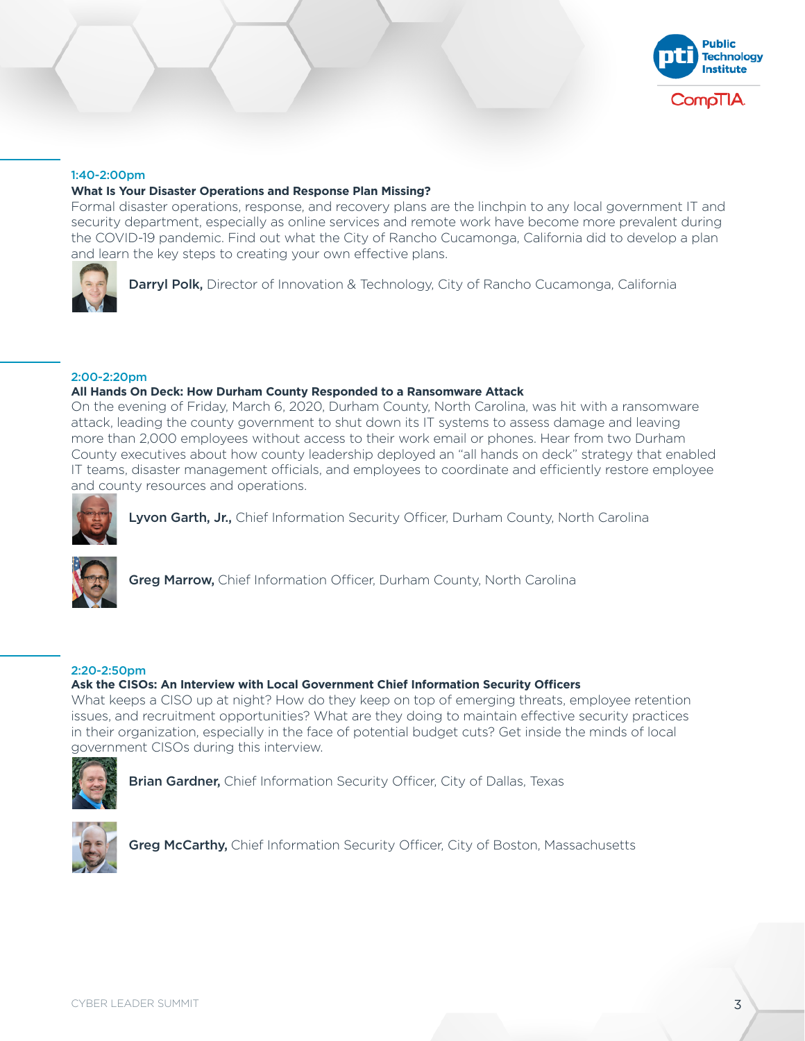

#### 1:40-2:00pm

#### **What Is Your Disaster Operations and Response Plan Missing?**

Formal disaster operations, response, and recovery plans are the linchpin to any local government IT and security department, especially as online services and remote work have become more prevalent during the COVID-19 pandemic. Find out what the City of Rancho Cucamonga, California did to develop a plan and learn the key steps to creating your own effective plans.



**[Darryl Polk,](https://www.comptia.org/docs/default-source/event-docs/darryl-polk.pdf?sfvrsn=3faffc2e_2)** Director of Innovation & Technology, City of Rancho Cucamonga, California

2:00-2:20pm

#### **All Hands On Deck: How Durham County Responded to a Ransomware Attack**

On the evening of Friday, March 6, 2020, Durham County, North Carolina, was hit with a ransomware attack, leading the county government to shut down its IT systems to assess damage and leaving more than 2,000 employees without access to their work email or phones. Hear from two Durham County executives about how county leadership deployed an "all hands on deck" strategy that enabled IT teams, disaster management officials, and employees to coordinate and efficiently restore employee and county resources and operations.



[Lyvon Garth, Jr.,](https://www.comptia.org/docs/default-source/event-docs/lyvon-garth-jr.pdf?sfvrsn=e49d1d28_2) Chief Information Security Officer, Durham County, North Carolina



[Greg Marrow,](https://www.comptia.org/docs/default-source/event-docs/greg-marrow.pdf?sfvrsn=8a5339db_2) Chief Information Officer, Durham County, North Carolina

#### 2:20-2:50pm

#### **Ask the CISOs: An Interview with Local Government Chief Information Security Officers**

What keeps a CISO up at night? How do they keep on top of emerging threats, employee retention issues, and recruitment opportunities? What are they doing to maintain effective security practices in their organization, especially in the face of potential budget cuts? Get inside the minds of local government CISOs during this interview.



[Brian Gardner,](https://www.comptia.org/docs/default-source/event-docs/brian-gardner.pdf?sfvrsn=cf194806_2) Chief Information Security Officer, City of Dallas, Texas



[Greg McCarthy,](https://www.comptia.org/docs/default-source/event-docs/greg-mccarthy_v2.pdf?sfvrsn=abd40ebb_2) Chief Information Security Officer, City of Boston, Massachusetts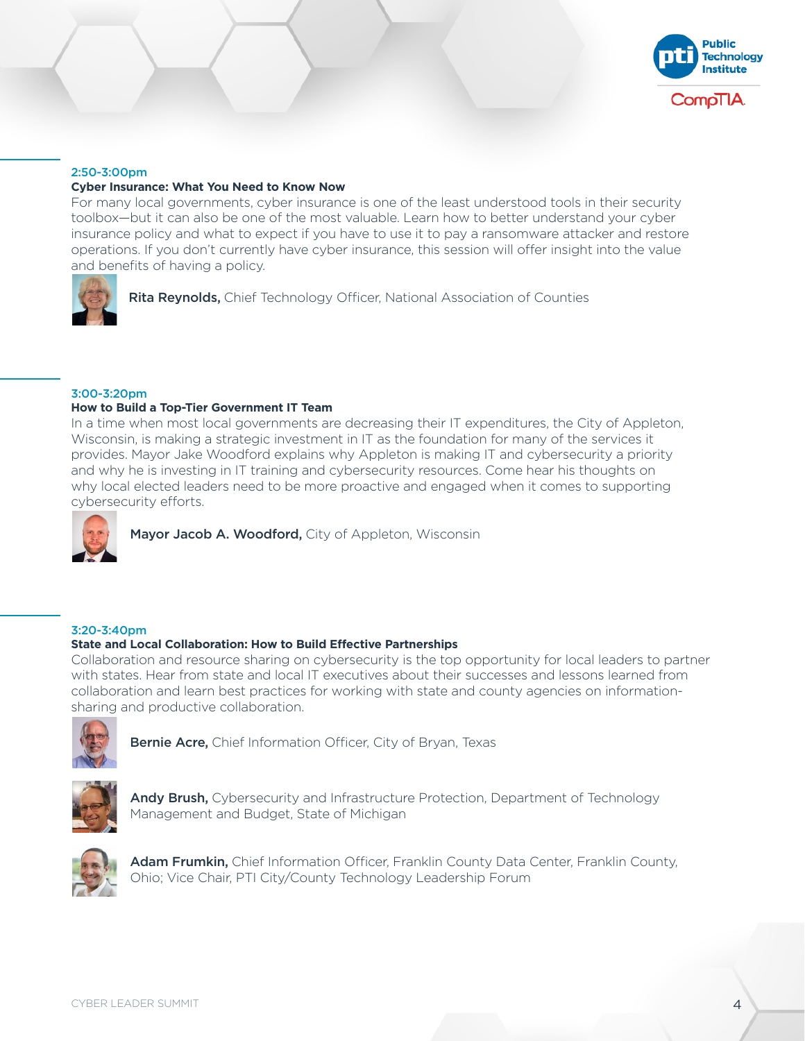

#### 2:50-3:00pm

#### **Cyber Insurance: What You Need to Know Now**

For many local governments, cyber insurance is one of the least understood tools in their security toolbox—but it can also be one of the most valuable. Learn how to better understand your cyber insurance policy and what to expect if you have to use it to pay a ransomware attacker and restore operations. If you don't currently have cyber insurance, this session will offer insight into the value and benefits of having a policy.



#### 3:00-3:20pm

#### **How to Build a Top-Tier Government IT Team**

In a time when most local governments are decreasing their IT expenditures, the City of Appleton, Wisconsin, is making a strategic investment in IT as the foundation for many of the services it provides. Mayor Jake Woodford explains why Appleton is making IT and cybersecurity a priority and why he is investing in IT training and cybersecurity resources. Come hear his thoughts on why local elected leaders need to be more proactive and engaged when it comes to supporting cybersecurity efforts.



[Mayor Jacob A. Woodford,](https://www.comptia.org/docs/default-source/event-docs/mayor-jacob-woodford.pdf?sfvrsn=947d330c_2) City of Appleton, Wisconsin

#### 3:20-3:40pm

#### **State and Local Collaboration: How to Build Effective Partnerships**

Collaboration and resource sharing on cybersecurity is the top opportunity for local leaders to partner with states. Hear from state and local IT executives about their successes and lessons learned from collaboration and learn best practices for working with state and county agencies on informationsharing and productive collaboration.



**[Bernie Acre,](https://www.comptia.org/docs/default-source/event-docs/bernie-acre.pdf?sfvrsn=a5011989_2)** Chief Information Officer, City of Bryan, Texas



[Andy Brush,](https://www.comptia.org/docs/default-source/event-docs/andy-brush.pdf?sfvrsn=6a70a9c_2) Cybersecurity and Infrastructure Protection, Department of Technology Management and Budget, State of Michigan



[Adam Frumkin,](https://www.comptia.org/docs/default-source/event-docs/adam-frumkin.pdf?sfvrsn=5f12ba37_2) Chief Information Officer, Franklin County Data Center, Franklin County, Ohio; Vice Chair, PTI City/County Technology Leadership Forum